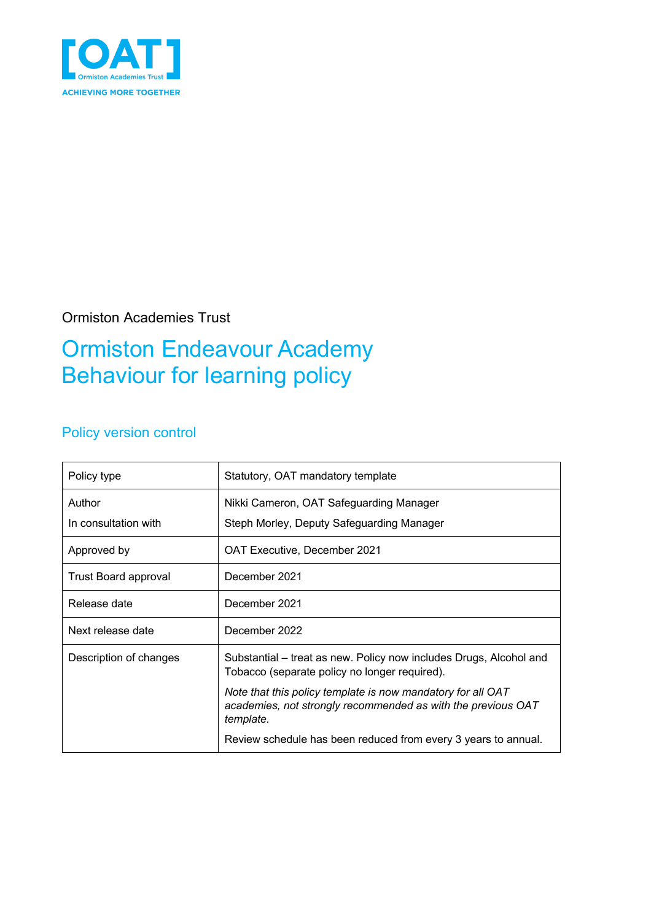

Ormiston Academies Trust

## Ormiston Endeavour Academy Behaviour for learning policy

### Policy version control

| Policy type                 | Statutory, OAT mandatory template                                                                                                        |
|-----------------------------|------------------------------------------------------------------------------------------------------------------------------------------|
| Author                      | Nikki Cameron, OAT Safeguarding Manager                                                                                                  |
| In consultation with        | Steph Morley, Deputy Safeguarding Manager                                                                                                |
| Approved by                 | OAT Executive, December 2021                                                                                                             |
| <b>Trust Board approval</b> | December 2021                                                                                                                            |
| Release date                | December 2021                                                                                                                            |
| Next release date           | December 2022                                                                                                                            |
| Description of changes      | Substantial - treat as new. Policy now includes Drugs, Alcohol and<br>Tobacco (separate policy no longer required).                      |
|                             | Note that this policy template is now mandatory for all OAT<br>academies, not strongly recommended as with the previous OAT<br>template. |
|                             | Review schedule has been reduced from every 3 years to annual.                                                                           |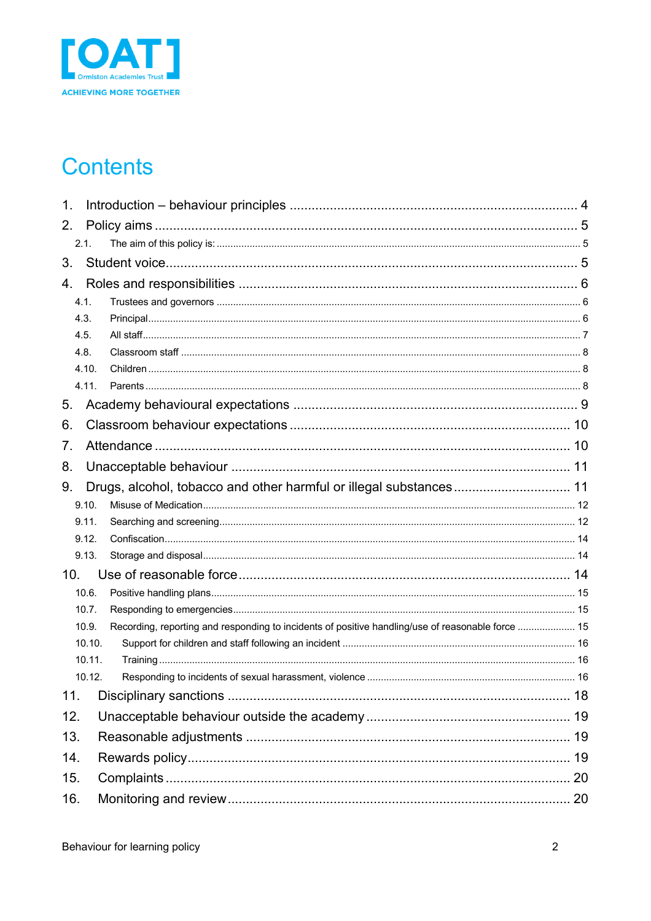

# **Contents**

| 1.  |               |                                                                                                   |  |  |  |
|-----|---------------|---------------------------------------------------------------------------------------------------|--|--|--|
| 2.  |               |                                                                                                   |  |  |  |
|     | 2.1.          |                                                                                                   |  |  |  |
| 3.  |               |                                                                                                   |  |  |  |
|     |               |                                                                                                   |  |  |  |
| 4.  |               |                                                                                                   |  |  |  |
|     | 4.1.          |                                                                                                   |  |  |  |
|     | 4.3.          |                                                                                                   |  |  |  |
|     | 4.5.          |                                                                                                   |  |  |  |
|     | 4.8.<br>4.10. |                                                                                                   |  |  |  |
|     | 4.11.         |                                                                                                   |  |  |  |
|     |               |                                                                                                   |  |  |  |
| 5.  |               |                                                                                                   |  |  |  |
| 6.  |               |                                                                                                   |  |  |  |
| 7.  |               |                                                                                                   |  |  |  |
| 8.  |               |                                                                                                   |  |  |  |
| 9.  |               |                                                                                                   |  |  |  |
|     | 9.10.         |                                                                                                   |  |  |  |
|     | 9.11.         |                                                                                                   |  |  |  |
|     | 9.12.         |                                                                                                   |  |  |  |
|     | 9.13.         |                                                                                                   |  |  |  |
| 10. |               |                                                                                                   |  |  |  |
|     | 10.6.         |                                                                                                   |  |  |  |
|     | 10.7.         |                                                                                                   |  |  |  |
|     | 10.9.         | Recording, reporting and responding to incidents of positive handling/use of reasonable force  15 |  |  |  |
|     | 10.10.        |                                                                                                   |  |  |  |
|     | 10.11.        |                                                                                                   |  |  |  |
|     | 10.12.        |                                                                                                   |  |  |  |
| 11. |               |                                                                                                   |  |  |  |
| 12. |               |                                                                                                   |  |  |  |
| 13. |               |                                                                                                   |  |  |  |
| 14. |               |                                                                                                   |  |  |  |
| 15. |               |                                                                                                   |  |  |  |
| 16. |               |                                                                                                   |  |  |  |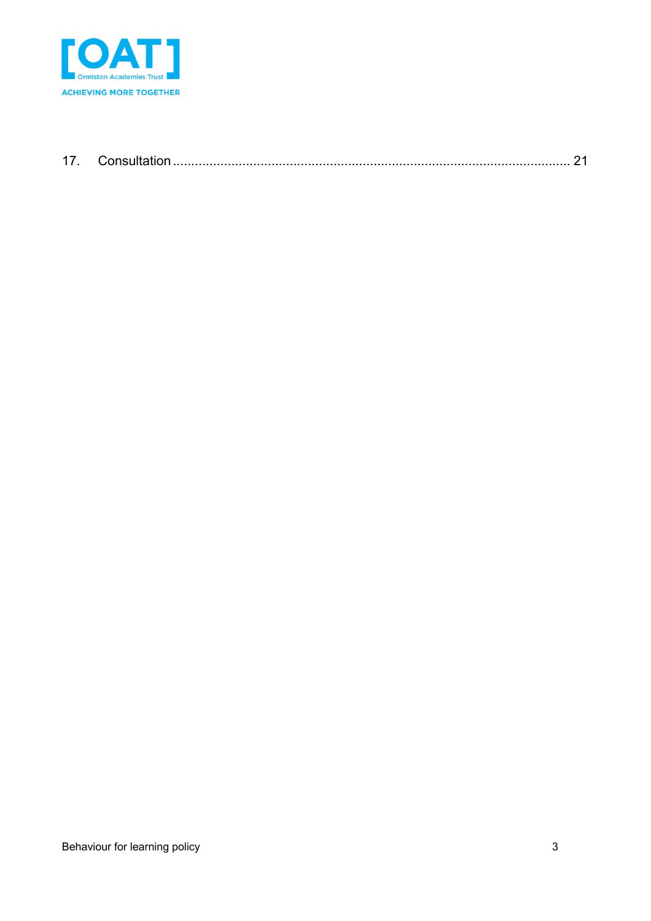

| $\overline{ }$ |  |
|----------------|--|
|                |  |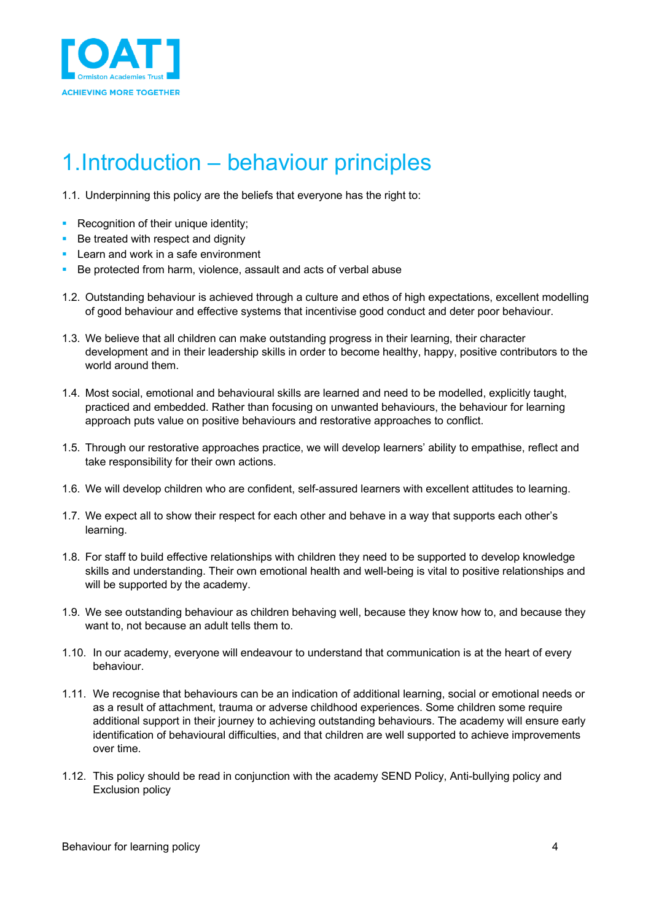

# 1.Introduction – behaviour principles

1.1. Underpinning this policy are the beliefs that everyone has the right to:

- Recognition of their unique identity;
- Be treated with respect and dignity
- Learn and work in a safe environment
- Be protected from harm, violence, assault and acts of verbal abuse
- 1.2. Outstanding behaviour is achieved through a culture and ethos of high expectations, excellent modelling of good behaviour and effective systems that incentivise good conduct and deter poor behaviour.
- 1.3. We believe that all children can make outstanding progress in their learning, their character development and in their leadership skills in order to become healthy, happy, positive contributors to the world around them.
- 1.4. Most social, emotional and behavioural skills are learned and need to be modelled, explicitly taught, practiced and embedded. Rather than focusing on unwanted behaviours, the behaviour for learning approach puts value on positive behaviours and restorative approaches to conflict.
- 1.5. Through our restorative approaches practice, we will develop learners' ability to empathise, reflect and take responsibility for their own actions.
- 1.6. We will develop children who are confident, self-assured learners with excellent attitudes to learning.
- 1.7. We expect all to show their respect for each other and behave in a way that supports each other's learning.
- 1.8. For staff to build effective relationships with children they need to be supported to develop knowledge skills and understanding. Their own emotional health and well-being is vital to positive relationships and will be supported by the academy.
- 1.9. We see outstanding behaviour as children behaving well, because they know how to, and because they want to, not because an adult tells them to.
- 1.10. In our academy, everyone will endeavour to understand that communication is at the heart of every behaviour.
- 1.11. We recognise that behaviours can be an indication of additional learning, social or emotional needs or as a result of attachment, trauma or adverse childhood experiences. Some children some require additional support in their journey to achieving outstanding behaviours. The academy will ensure early identification of behavioural difficulties, and that children are well supported to achieve improvements over time.
- 1.12. This policy should be read in conjunction with the academy SEND Policy, Anti-bullying policy and Exclusion policy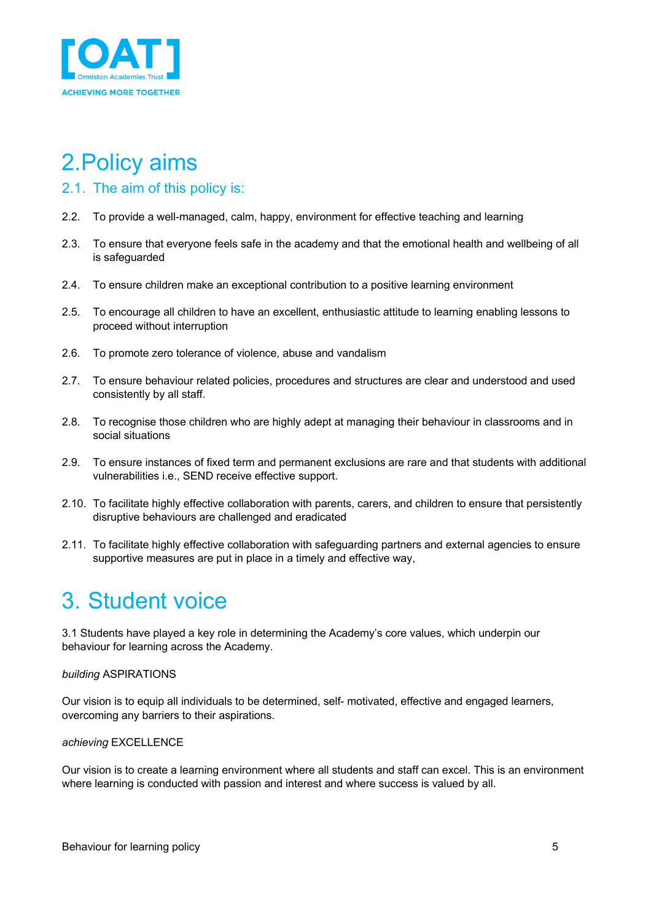

# 2.Policy aims

### 2.1. The aim of this policy is:

- 2.2. To provide a well-managed, calm, happy, environment for effective teaching and learning
- 2.3. To ensure that everyone feels safe in the academy and that the emotional health and wellbeing of all is safeguarded
- 2.4. To ensure children make an exceptional contribution to a positive learning environment
- 2.5. To encourage all children to have an excellent, enthusiastic attitude to learning enabling lessons to proceed without interruption
- 2.6. To promote zero tolerance of violence, abuse and vandalism
- 2.7. To ensure behaviour related policies, procedures and structures are clear and understood and used consistently by all staff.
- 2.8. To recognise those children who are highly adept at managing their behaviour in classrooms and in social situations
- 2.9. To ensure instances of fixed term and permanent exclusions are rare and that students with additional vulnerabilities i.e., SEND receive effective support.
- 2.10. To facilitate highly effective collaboration with parents, carers, and children to ensure that persistently disruptive behaviours are challenged and eradicated
- 2.11. To facilitate highly effective collaboration with safeguarding partners and external agencies to ensure supportive measures are put in place in a timely and effective way,

### 3. Student voice

3.1 Students have played a key role in determining the Academy's core values, which underpin our behaviour for learning across the Academy.

#### *building* ASPIRATIONS

Our vision is to equip all individuals to be determined, self- motivated, effective and engaged learners, overcoming any barriers to their aspirations.

#### *achieving* EXCELLENCE

Our vision is to create a learning environment where all students and staff can excel. This is an environment where learning is conducted with passion and interest and where success is valued by all.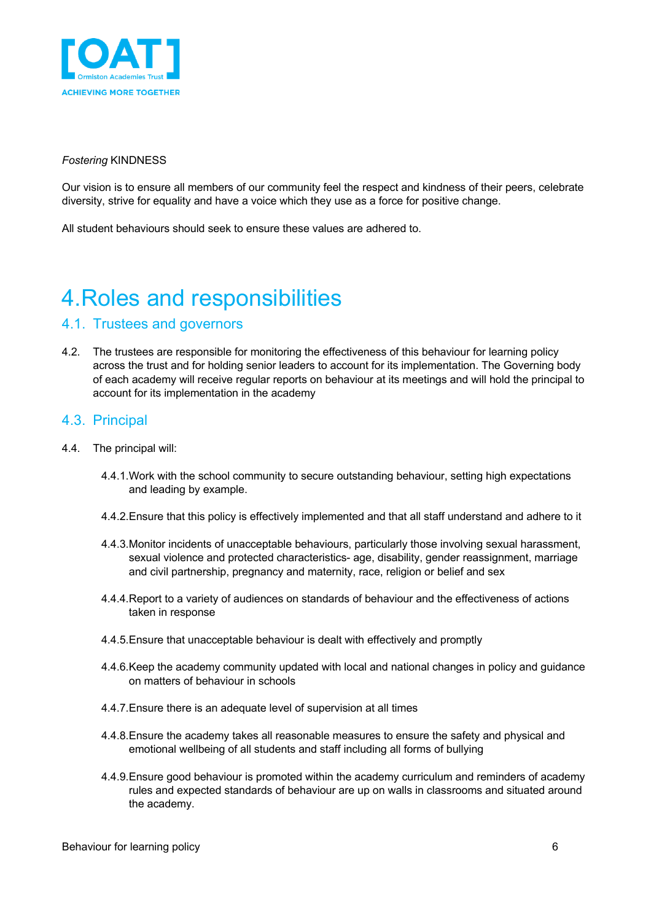

#### *Fostering* KINDNESS

Our vision is to ensure all members of our community feel the respect and kindness of their peers, celebrate diversity, strive for equality and have a voice which they use as a force for positive change.

All student behaviours should seek to ensure these values are adhered to.

# 4.Roles and responsibilities

#### 4.1. Trustees and governors

4.2. The trustees are responsible for monitoring the effectiveness of this behaviour for learning policy across the trust and for holding senior leaders to account for its implementation. The Governing body of each academy will receive regular reports on behaviour at its meetings and will hold the principal to account for its implementation in the academy

#### 4.3. Principal

- 4.4. The principal will:
	- 4.4.1.Work with the school community to secure outstanding behaviour, setting high expectations and leading by example.
	- 4.4.2.Ensure that this policy is effectively implemented and that all staff understand and adhere to it
	- 4.4.3.Monitor incidents of unacceptable behaviours, particularly those involving sexual harassment, sexual violence and protected characteristics- age, disability, gender reassignment, marriage and civil partnership, pregnancy and maternity, race, religion or belief and sex
	- 4.4.4.Report to a variety of audiences on standards of behaviour and the effectiveness of actions taken in response
	- 4.4.5.Ensure that unacceptable behaviour is dealt with effectively and promptly
	- 4.4.6.Keep the academy community updated with local and national changes in policy and guidance on matters of behaviour in schools
	- 4.4.7.Ensure there is an adequate level of supervision at all times
	- 4.4.8.Ensure the academy takes all reasonable measures to ensure the safety and physical and emotional wellbeing of all students and staff including all forms of bullying
	- 4.4.9.Ensure good behaviour is promoted within the academy curriculum and reminders of academy rules and expected standards of behaviour are up on walls in classrooms and situated around the academy.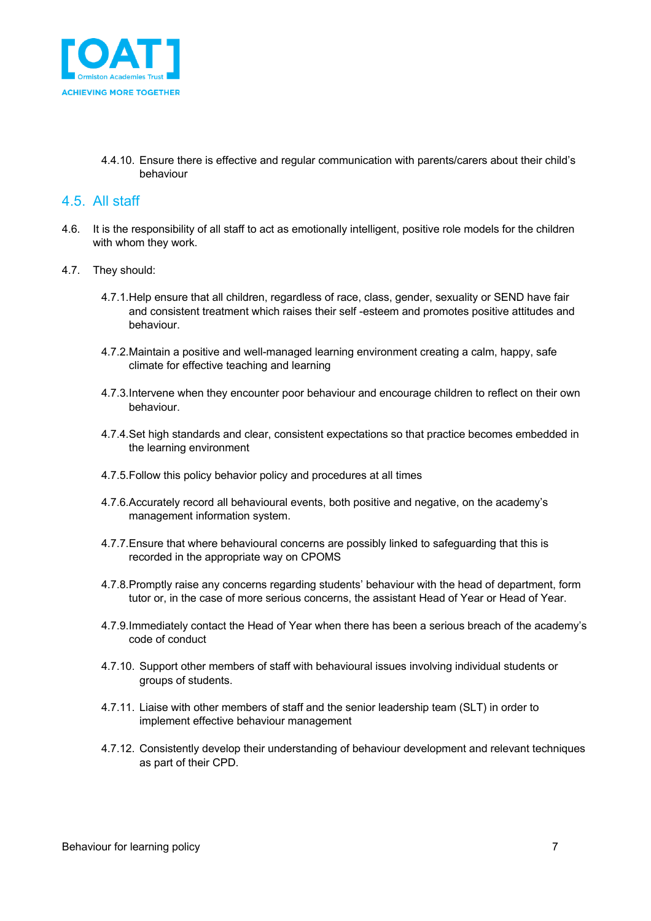

4.4.10. Ensure there is effective and regular communication with parents/carers about their child's behaviour

#### 4.5. All staff

- 4.6. It is the responsibility of all staff to act as emotionally intelligent, positive role models for the children with whom they work.
- 4.7. They should:
	- 4.7.1.Help ensure that all children, regardless of race, class, gender, sexuality or SEND have fair and consistent treatment which raises their self -esteem and promotes positive attitudes and behaviour.
	- 4.7.2.Maintain a positive and well-managed learning environment creating a calm, happy, safe climate for effective teaching and learning
	- 4.7.3.Intervene when they encounter poor behaviour and encourage children to reflect on their own behaviour.
	- 4.7.4.Set high standards and clear, consistent expectations so that practice becomes embedded in the learning environment
	- 4.7.5.Follow this policy behavior policy and procedures at all times
	- 4.7.6.Accurately record all behavioural events, both positive and negative, on the academy's management information system.
	- 4.7.7.Ensure that where behavioural concerns are possibly linked to safeguarding that this is recorded in the appropriate way on CPOMS
	- 4.7.8.Promptly raise any concerns regarding students' behaviour with the head of department, form tutor or, in the case of more serious concerns, the assistant Head of Year or Head of Year.
	- 4.7.9.Immediately contact the Head of Year when there has been a serious breach of the academy's code of conduct
	- 4.7.10. Support other members of staff with behavioural issues involving individual students or groups of students.
	- 4.7.11. Liaise with other members of staff and the senior leadership team (SLT) in order to implement effective behaviour management
	- 4.7.12. Consistently develop their understanding of behaviour development and relevant techniques as part of their CPD.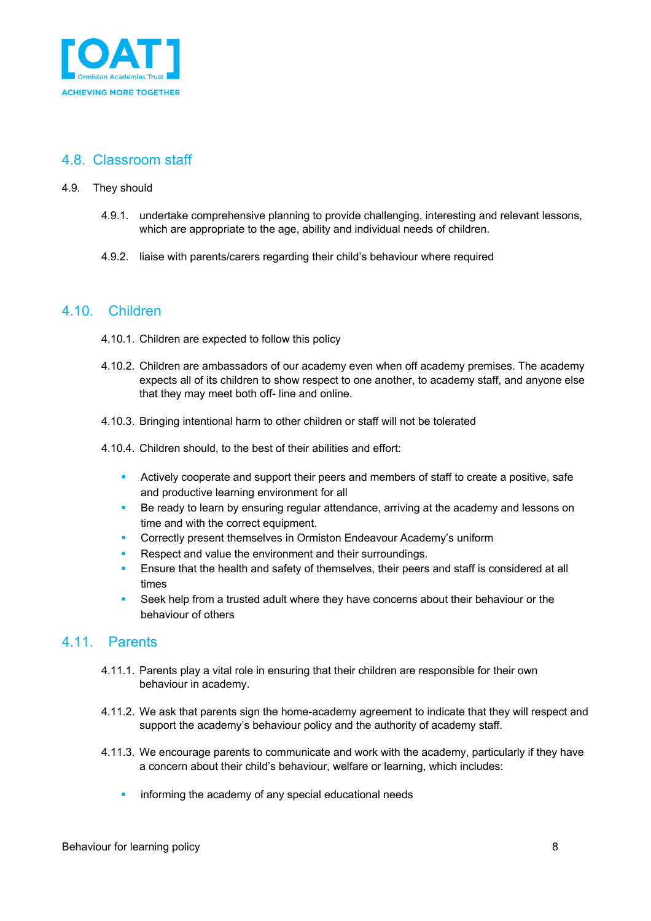

### 4.8. Classroom staff

#### 4.9. They should

- 4.9.1. undertake comprehensive planning to provide challenging, interesting and relevant lessons, which are appropriate to the age, ability and individual needs of children.
- 4.9.2. liaise with parents/carers regarding their child's behaviour where required

#### 4.10. Children

- 4.10.1. Children are expected to follow this policy
- 4.10.2. Children are ambassadors of our academy even when off academy premises. The academy expects all of its children to show respect to one another, to academy staff, and anyone else that they may meet both off- line and online.
- 4.10.3. Bringing intentional harm to other children or staff will not be tolerated
- 4.10.4. Children should, to the best of their abilities and effort:
	- Actively cooperate and support their peers and members of staff to create a positive, safe and productive learning environment for all
	- Be ready to learn by ensuring regular attendance, arriving at the academy and lessons on time and with the correct equipment.
	- § Correctly present themselves in Ormiston Endeavour Academy's uniform
	- Respect and value the environment and their surroundings.
	- Ensure that the health and safety of themselves, their peers and staff is considered at all times
	- Seek help from a trusted adult where they have concerns about their behaviour or the behaviour of others

#### 4.11. Parents

- 4.11.1. Parents play a vital role in ensuring that their children are responsible for their own behaviour in academy.
- 4.11.2. We ask that parents sign the home-academy agreement to indicate that they will respect and support the academy's behaviour policy and the authority of academy staff.
- 4.11.3. We encourage parents to communicate and work with the academy, particularly if they have a concern about their child's behaviour, welfare or learning, which includes:
	- informing the academy of any special educational needs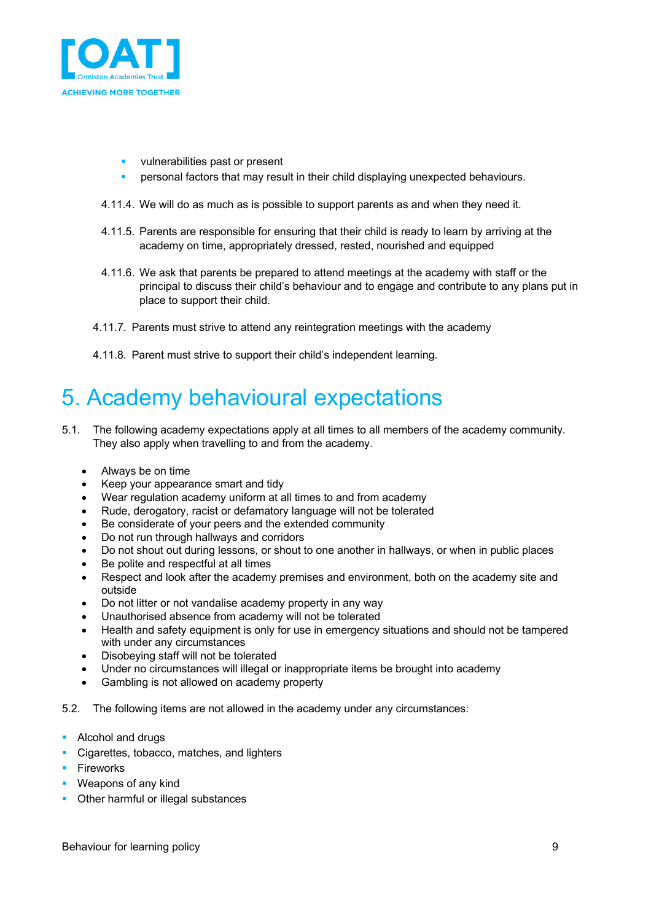

- vulnerabilities past or present
- § personal factors that may result in their child displaying unexpected behaviours.
- 4.11.4. We will do as much as is possible to support parents as and when they need it.
- 4.11.5. Parents are responsible for ensuring that their child is ready to learn by arriving at the academy on time, appropriately dressed, rested, nourished and equipped
- 4.11.6. We ask that parents be prepared to attend meetings at the academy with staff or the principal to discuss their child's behaviour and to engage and contribute to any plans put in place to support their child.
- 4.11.7. Parents must strive to attend any reintegration meetings with the academy
- 4.11.8. Parent must strive to support their child's independent learning.

## 5. Academy behavioural expectations

- 5.1. The following academy expectations apply at all times to all members of the academy community. They also apply when travelling to and from the academy.
	- Always be on time
	- Keep your appearance smart and tidy
	- Wear regulation academy uniform at all times to and from academy
	- Rude, derogatory, racist or defamatory language will not be tolerated
	- Be considerate of your peers and the extended community
	- Do not run through hallways and corridors
	- Do not shout out during lessons, or shout to one another in hallways, or when in public places
	- Be polite and respectful at all times
	- Respect and look after the academy premises and environment, both on the academy site and outside
	- Do not litter or not vandalise academy property in any way
	- Unauthorised absence from academy will not be tolerated
	- Health and safety equipment is only for use in emergency situations and should not be tampered with under any circumstances
	- Disobeying staff will not be tolerated
	- Under no circumstances will illegal or inappropriate items be brought into academy
	- Gambling is not allowed on academy property
- 5.2. The following items are not allowed in the academy under any circumstances:
- Alcohol and drugs
- Cigarettes, tobacco, matches, and lighters
- Fireworks
- Weapons of any kind
- Other harmful or illegal substances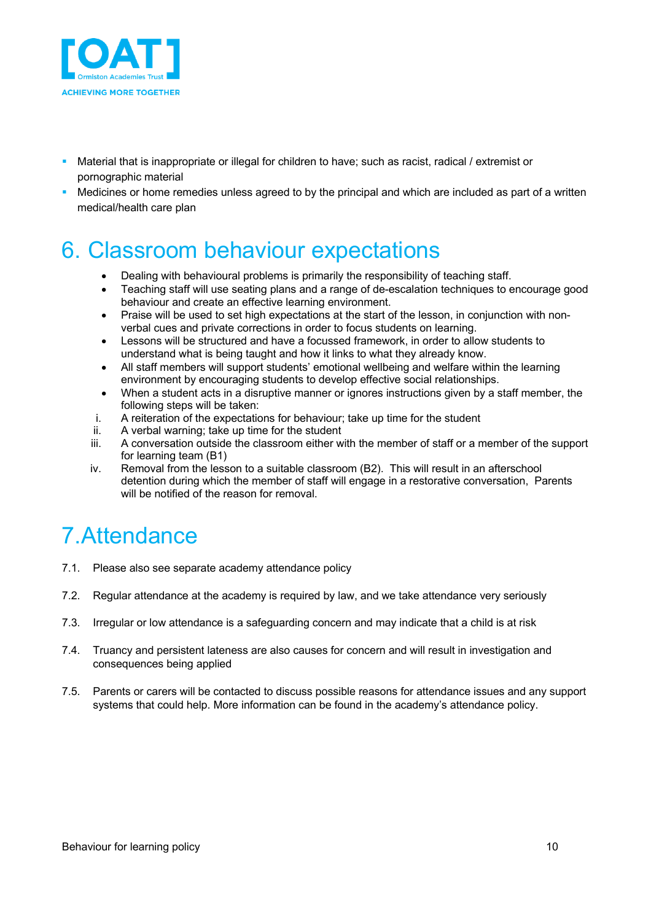

- § Material that is inappropriate or illegal for children to have; such as racist, radical / extremist or pornographic material
- Medicines or home remedies unless agreed to by the principal and which are included as part of a written medical/health care plan

### 6. Classroom behaviour expectations

- Dealing with behavioural problems is primarily the responsibility of teaching staff.
- Teaching staff will use seating plans and a range of de-escalation techniques to encourage good behaviour and create an effective learning environment.
- Praise will be used to set high expectations at the start of the lesson, in conjunction with nonverbal cues and private corrections in order to focus students on learning.
- Lessons will be structured and have a focussed framework, in order to allow students to understand what is being taught and how it links to what they already know.
- All staff members will support students' emotional wellbeing and welfare within the learning environment by encouraging students to develop effective social relationships.
- When a student acts in a disruptive manner or ignores instructions given by a staff member, the following steps will be taken:
- i. A reiteration of the expectations for behaviour; take up time for the student
- ii. A verbal warning; take up time for the student
- iii. A conversation outside the classroom either with the member of staff or a member of the support for learning team (B1)
- iv. Removal from the lesson to a suitable classroom (B2). This will result in an afterschool detention during which the member of staff will engage in a restorative conversation, Parents will be notified of the reason for removal.

# 7.Attendance

- 7.1. Please also see separate academy attendance policy
- 7.2. Regular attendance at the academy is required by law, and we take attendance very seriously
- 7.3. Irregular or low attendance is a safeguarding concern and may indicate that a child is at risk
- 7.4. Truancy and persistent lateness are also causes for concern and will result in investigation and consequences being applied
- 7.5. Parents or carers will be contacted to discuss possible reasons for attendance issues and any support systems that could help. More information can be found in the academy's attendance policy.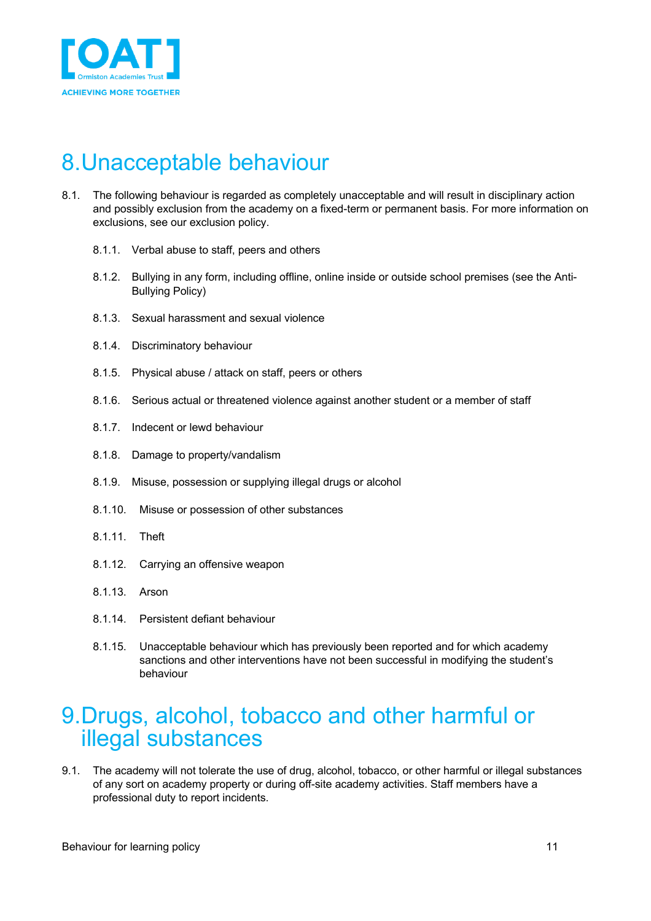

# 8.Unacceptable behaviour

- 8.1. The following behaviour is regarded as completely unacceptable and will result in disciplinary action and possibly exclusion from the academy on a fixed-term or permanent basis. For more information on exclusions, see our exclusion policy.
	- 8.1.1. Verbal abuse to staff, peers and others
	- 8.1.2. Bullying in any form, including offline, online inside or outside school premises (see the Anti-Bullying Policy)
	- 8.1.3. Sexual harassment and sexual violence
	- 8.1.4. Discriminatory behaviour
	- 8.1.5. Physical abuse / attack on staff, peers or others
	- 8.1.6. Serious actual or threatened violence against another student or a member of staff
	- 8.1.7. Indecent or lewd behaviour
	- 8.1.8. Damage to property/vandalism
	- 8.1.9. Misuse, possession or supplying illegal drugs or alcohol
	- 8.1.10. Misuse or possession of other substances
	- 8.1.11. Theft
	- 8.1.12. Carrying an offensive weapon
	- 8.1.13. Arson
	- 8.1.14. Persistent defiant behaviour
	- 8.1.15. Unacceptable behaviour which has previously been reported and for which academy sanctions and other interventions have not been successful in modifying the student's behaviour

### 9.Drugs, alcohol, tobacco and other harmful or illegal substances

9.1. The academy will not tolerate the use of drug, alcohol, tobacco, or other harmful or illegal substances of any sort on academy property or during off-site academy activities. Staff members have a professional duty to report incidents.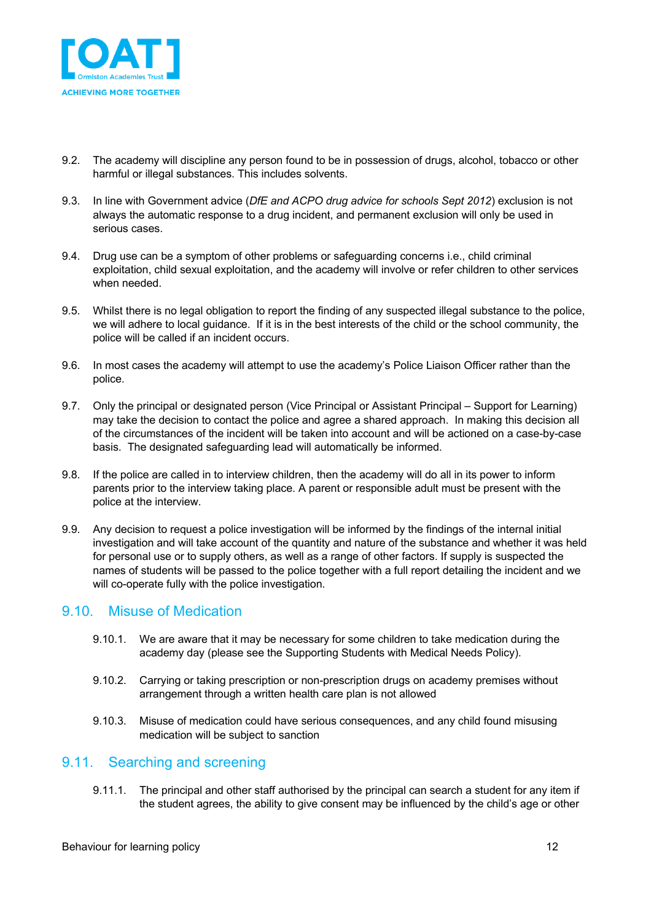

- 9.2. The academy will discipline any person found to be in possession of drugs, alcohol, tobacco or other harmful or illegal substances. This includes solvents.
- 9.3. In line with Government advice (*DfE and ACPO drug advice for schools Sept 2012*) exclusion is not always the automatic response to a drug incident, and permanent exclusion will only be used in serious cases.
- 9.4. Drug use can be a symptom of other problems or safeguarding concerns i.e., child criminal exploitation, child sexual exploitation, and the academy will involve or refer children to other services when needed.
- 9.5. Whilst there is no legal obligation to report the finding of any suspected illegal substance to the police, we will adhere to local guidance. If it is in the best interests of the child or the school community, the police will be called if an incident occurs.
- 9.6. In most cases the academy will attempt to use the academy's Police Liaison Officer rather than the police.
- 9.7. Only the principal or designated person (Vice Principal or Assistant Principal Support for Learning) may take the decision to contact the police and agree a shared approach. In making this decision all of the circumstances of the incident will be taken into account and will be actioned on a case-by-case basis. The designated safeguarding lead will automatically be informed.
- 9.8. If the police are called in to interview children, then the academy will do all in its power to inform parents prior to the interview taking place. A parent or responsible adult must be present with the police at the interview.
- 9.9. Any decision to request a police investigation will be informed by the findings of the internal initial investigation and will take account of the quantity and nature of the substance and whether it was held for personal use or to supply others, as well as a range of other factors. If supply is suspected the names of students will be passed to the police together with a full report detailing the incident and we will co-operate fully with the police investigation.

#### 9.10. Misuse of Medication

- 9.10.1. We are aware that it may be necessary for some children to take medication during the academy day (please see the Supporting Students with Medical Needs Policy).
- 9.10.2. Carrying or taking prescription or non-prescription drugs on academy premises without arrangement through a written health care plan is not allowed
- 9.10.3. Misuse of medication could have serious consequences, and any child found misusing medication will be subject to sanction

#### 9.11. Searching and screening

9.11.1. The principal and other staff authorised by the principal can search a student for any item if the student agrees, the ability to give consent may be influenced by the child's age or other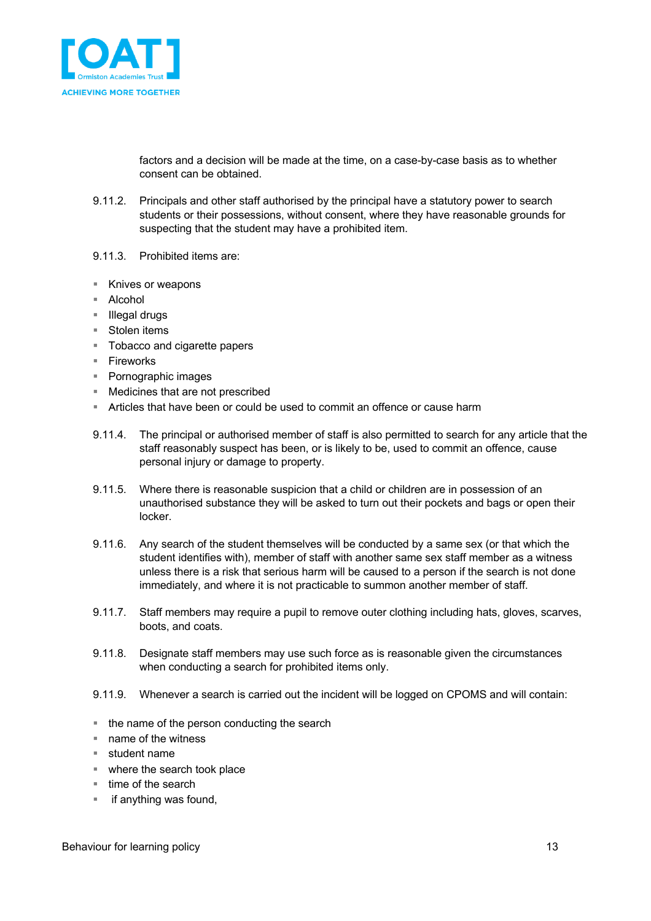

factors and a decision will be made at the time, on a case-by-case basis as to whether consent can be obtained.

- 9.11.2. Principals and other staff authorised by the principal have a statutory power to search students or their possessions, without consent, where they have reasonable grounds for suspecting that the student may have a prohibited item.
- 9.11.3. Prohibited items are:
- Knives or weapons
- Alcohol
- Illegal drugs
- Stolen items
- Tobacco and cigarette papers
- Fireworks
- Pornographic images
- Medicines that are not prescribed
- § Articles that have been or could be used to commit an offence or cause harm
- 9.11.4. The principal or authorised member of staff is also permitted to search for any article that the staff reasonably suspect has been, or is likely to be, used to commit an offence, cause personal injury or damage to property.
- 9.11.5. Where there is reasonable suspicion that a child or children are in possession of an unauthorised substance they will be asked to turn out their pockets and bags or open their locker.
- 9.11.6. Any search of the student themselves will be conducted by a same sex (or that which the student identifies with), member of staff with another same sex staff member as a witness unless there is a risk that serious harm will be caused to a person if the search is not done immediately, and where it is not practicable to summon another member of staff.
- 9.11.7. Staff members may require a pupil to remove outer clothing including hats, gloves, scarves, boots, and coats.
- 9.11.8. Designate staff members may use such force as is reasonable given the circumstances when conducting a search for prohibited items only.
- 9.11.9. Whenever a search is carried out the incident will be logged on CPOMS and will contain:
- the name of the person conducting the search
- name of the witness
- student name
- where the search took place
- time of the search
- if anything was found,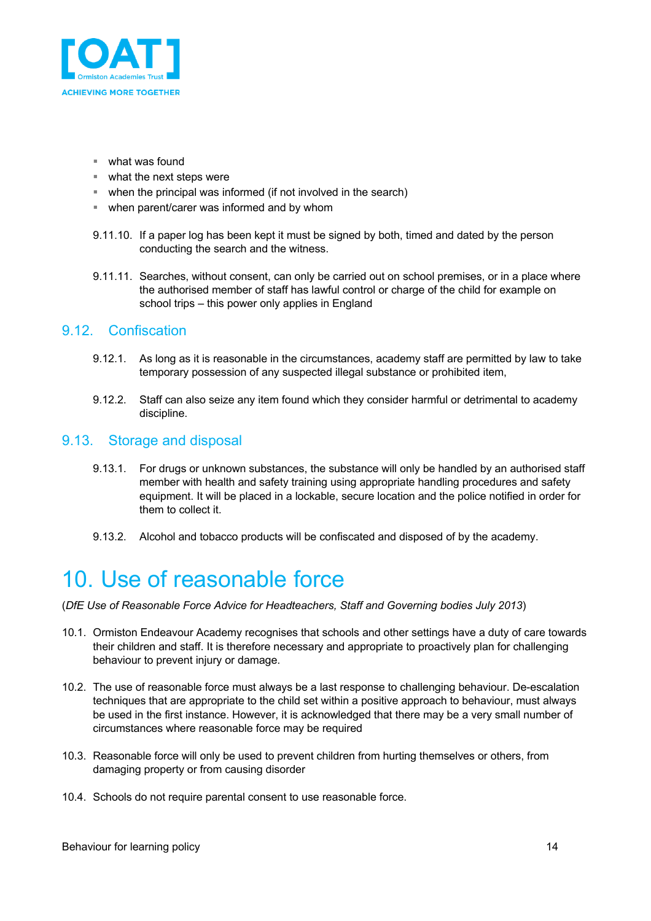

- what was found
- what the next steps were
- when the principal was informed (if not involved in the search)
- when parent/carer was informed and by whom
- 9.11.10. If a paper log has been kept it must be signed by both, timed and dated by the person conducting the search and the witness.
- 9.11.11. Searches, without consent, can only be carried out on school premises, or in a place where the authorised member of staff has lawful control or charge of the child for example on school trips – this power only applies in England

#### 9.12. Confiscation

- 9.12.1. As long as it is reasonable in the circumstances, academy staff are permitted by law to take temporary possession of any suspected illegal substance or prohibited item,
- 9.12.2. Staff can also seize any item found which they consider harmful or detrimental to academy discipline.

#### 9.13. Storage and disposal

- 9.13.1. For drugs or unknown substances, the substance will only be handled by an authorised staff member with health and safety training using appropriate handling procedures and safety equipment. It will be placed in a lockable, secure location and the police notified in order for them to collect it.
- 9.13.2. Alcohol and tobacco products will be confiscated and disposed of by the academy.

### 10. Use of reasonable force

(*DfE Use of Reasonable Force Advice for Headteachers, Staff and Governing bodies July 2013*)

- 10.1. Ormiston Endeavour Academy recognises that schools and other settings have a duty of care towards their children and staff. It is therefore necessary and appropriate to proactively plan for challenging behaviour to prevent injury or damage.
- 10.2. The use of reasonable force must always be a last response to challenging behaviour. De-escalation techniques that are appropriate to the child set within a positive approach to behaviour, must always be used in the first instance. However, it is acknowledged that there may be a very small number of circumstances where reasonable force may be required
- 10.3. Reasonable force will only be used to prevent children from hurting themselves or others, from damaging property or from causing disorder
- 10.4. Schools do not require parental consent to use reasonable force.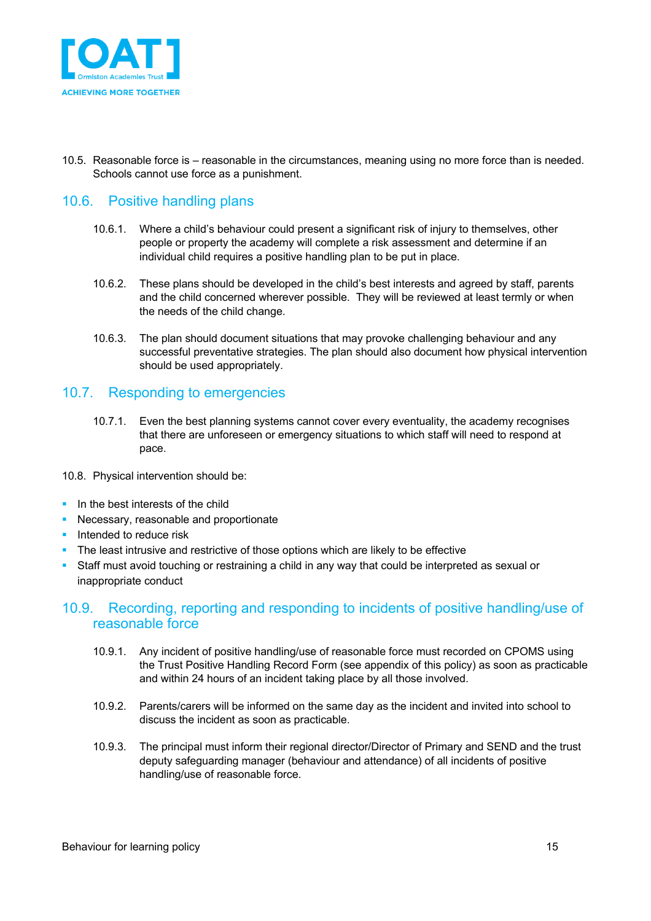

10.5. Reasonable force is – reasonable in the circumstances, meaning using no more force than is needed. Schools cannot use force as a punishment.

### 10.6. Positive handling plans

- 10.6.1. Where a child's behaviour could present a significant risk of injury to themselves, other people or property the academy will complete a risk assessment and determine if an individual child requires a positive handling plan to be put in place.
- 10.6.2. These plans should be developed in the child's best interests and agreed by staff, parents and the child concerned wherever possible. They will be reviewed at least termly or when the needs of the child change.
- 10.6.3. The plan should document situations that may provoke challenging behaviour and any successful preventative strategies. The plan should also document how physical intervention should be used appropriately.

### 10.7. Responding to emergencies

- 10.7.1. Even the best planning systems cannot cover every eventuality, the academy recognises that there are unforeseen or emergency situations to which staff will need to respond at pace.
- 10.8. Physical intervention should be:
- In the best interests of the child
- **Necessary, reasonable and proportionate**
- **•** Intended to reduce risk
- The least intrusive and restrictive of those options which are likely to be effective
- Staff must avoid touching or restraining a child in any way that could be interpreted as sexual or inappropriate conduct

#### 10.9. Recording, reporting and responding to incidents of positive handling/use of reasonable force

- 10.9.1. Any incident of positive handling/use of reasonable force must recorded on CPOMS using the Trust Positive Handling Record Form (see appendix of this policy) as soon as practicable and within 24 hours of an incident taking place by all those involved.
- 10.9.2. Parents/carers will be informed on the same day as the incident and invited into school to discuss the incident as soon as practicable.
- 10.9.3. The principal must inform their regional director/Director of Primary and SEND and the trust deputy safeguarding manager (behaviour and attendance) of all incidents of positive handling/use of reasonable force.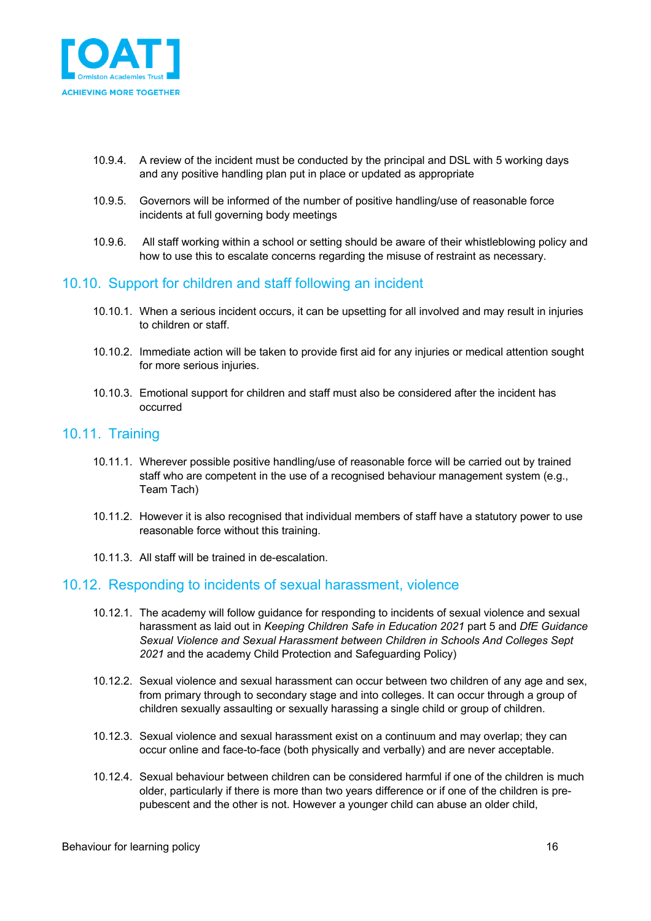

- 10.9.4. A review of the incident must be conducted by the principal and DSL with 5 working days and any positive handling plan put in place or updated as appropriate
- 10.9.5. Governors will be informed of the number of positive handling/use of reasonable force incidents at full governing body meetings
- 10.9.6. All staff working within a school or setting should be aware of their whistleblowing policy and how to use this to escalate concerns regarding the misuse of restraint as necessary.

#### 10.10. Support for children and staff following an incident

- 10.10.1. When a serious incident occurs, it can be upsetting for all involved and may result in injuries to children or staff.
- 10.10.2. Immediate action will be taken to provide first aid for any injuries or medical attention sought for more serious injuries.
- 10.10.3. Emotional support for children and staff must also be considered after the incident has occurred

#### 10.11. Training

- 10.11.1. Wherever possible positive handling/use of reasonable force will be carried out by trained staff who are competent in the use of a recognised behaviour management system (e.g., Team Tach)
- 10.11.2. However it is also recognised that individual members of staff have a statutory power to use reasonable force without this training.
- 10.11.3. All staff will be trained in de-escalation.

#### 10.12. Responding to incidents of sexual harassment, violence

- 10.12.1. The academy will follow guidance for responding to incidents of sexual violence and sexual harassment as laid out in *Keeping Children Safe in Education 2021* part 5 and *DfE Guidance Sexual Violence and Sexual Harassment between Children in Schools And Colleges Sept 2021* and the academy Child Protection and Safeguarding Policy)
- 10.12.2. Sexual violence and sexual harassment can occur between two children of any age and sex, from primary through to secondary stage and into colleges. It can occur through a group of children sexually assaulting or sexually harassing a single child or group of children.
- 10.12.3. Sexual violence and sexual harassment exist on a continuum and may overlap; they can occur online and face-to-face (both physically and verbally) and are never acceptable.
- 10.12.4. Sexual behaviour between children can be considered harmful if one of the children is much older, particularly if there is more than two years difference or if one of the children is prepubescent and the other is not. However a younger child can abuse an older child,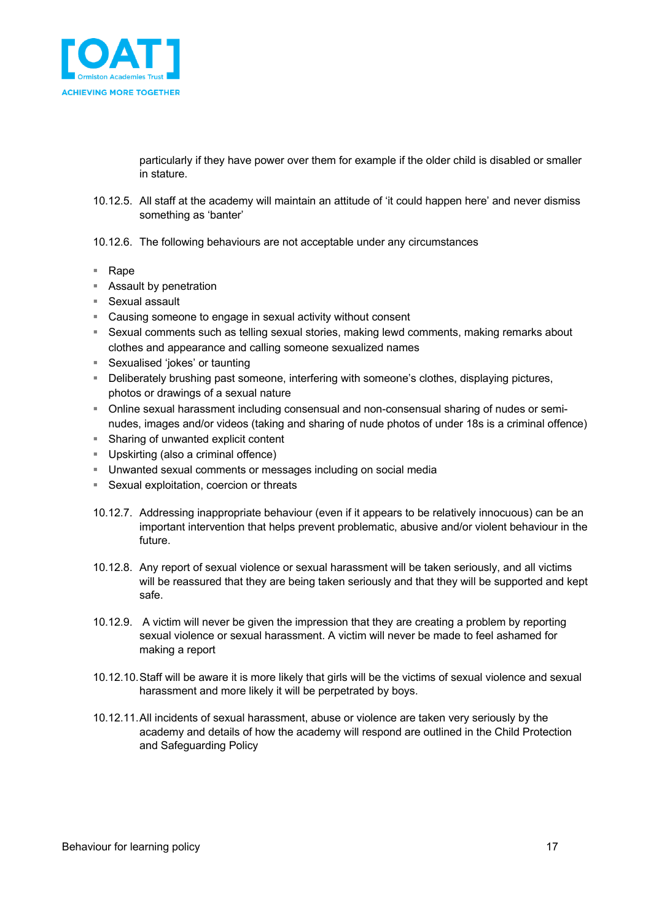

particularly if they have power over them for example if the older child is disabled or smaller in stature.

- 10.12.5. All staff at the academy will maintain an attitude of 'it could happen here' and never dismiss something as 'banter'
- 10.12.6. The following behaviours are not acceptable under any circumstances
- Rape
- Assault by penetration
- Sexual assault
- Causing someone to engage in sexual activity without consent
- Sexual comments such as telling sexual stories, making lewd comments, making remarks about clothes and appearance and calling someone sexualized names
- Sexualised 'jokes' or taunting
- § Deliberately brushing past someone, interfering with someone's clothes, displaying pictures, photos or drawings of a sexual nature
- § Online sexual harassment including consensual and non-consensual sharing of nudes or seminudes, images and/or videos (taking and sharing of nude photos of under 18s is a criminal offence)
- Sharing of unwanted explicit content
- Upskirting (also a criminal offence)
- § Unwanted sexual comments or messages including on social media
- Sexual exploitation, coercion or threats
- 10.12.7. Addressing inappropriate behaviour (even if it appears to be relatively innocuous) can be an important intervention that helps prevent problematic, abusive and/or violent behaviour in the future.
- 10.12.8. Any report of sexual violence or sexual harassment will be taken seriously, and all victims will be reassured that they are being taken seriously and that they will be supported and kept safe.
- 10.12.9. A victim will never be given the impression that they are creating a problem by reporting sexual violence or sexual harassment. A victim will never be made to feel ashamed for making a report
- 10.12.10.Staff will be aware it is more likely that girls will be the victims of sexual violence and sexual harassment and more likely it will be perpetrated by boys.
- 10.12.11.All incidents of sexual harassment, abuse or violence are taken very seriously by the academy and details of how the academy will respond are outlined in the Child Protection and Safeguarding Policy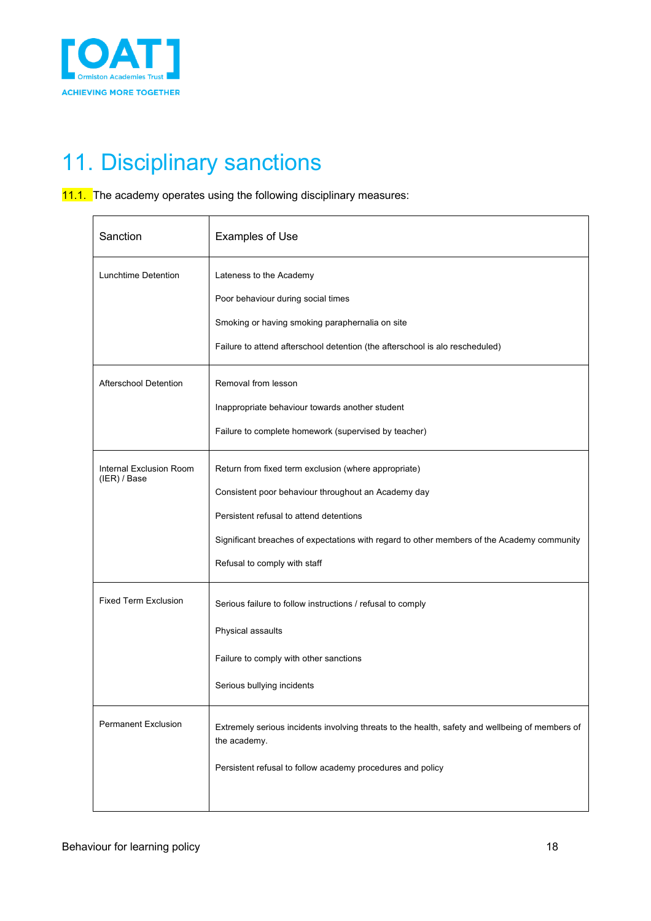

# 11. Disciplinary sanctions

11.1. The academy operates using the following disciplinary measures:

| Sanction                                | <b>Examples of Use</b>                                                                                                                                                                                                                                                               |
|-----------------------------------------|--------------------------------------------------------------------------------------------------------------------------------------------------------------------------------------------------------------------------------------------------------------------------------------|
| Lunchtime Detention                     | Lateness to the Academy<br>Poor behaviour during social times<br>Smoking or having smoking paraphernalia on site<br>Failure to attend afterschool detention (the afterschool is alo rescheduled)                                                                                     |
| <b>Afterschool Detention</b>            | Removal from lesson<br>Inappropriate behaviour towards another student<br>Failure to complete homework (supervised by teacher)                                                                                                                                                       |
| Internal Exclusion Room<br>(IER) / Base | Return from fixed term exclusion (where appropriate)<br>Consistent poor behaviour throughout an Academy day<br>Persistent refusal to attend detentions<br>Significant breaches of expectations with regard to other members of the Academy community<br>Refusal to comply with staff |
| <b>Fixed Term Exclusion</b>             | Serious failure to follow instructions / refusal to comply<br>Physical assaults<br>Failure to comply with other sanctions<br>Serious bullying incidents                                                                                                                              |
| <b>Permanent Exclusion</b>              | Extremely serious incidents involving threats to the health, safety and wellbeing of members of<br>the academy.<br>Persistent refusal to follow academy procedures and policy                                                                                                        |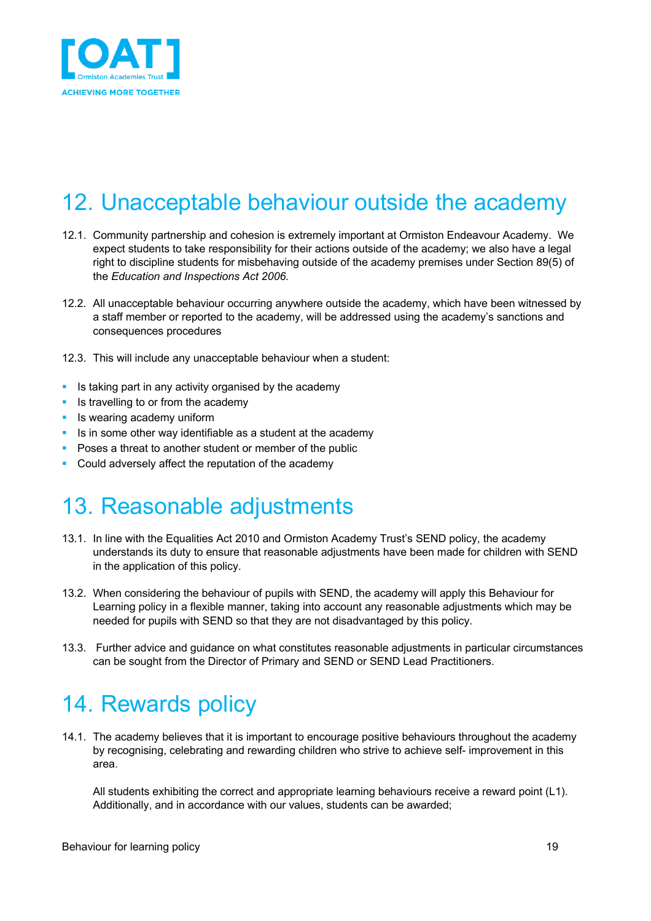

# 12. Unacceptable behaviour outside the academy

- 12.1. Community partnership and cohesion is extremely important at Ormiston Endeavour Academy. We expect students to take responsibility for their actions outside of the academy; we also have a legal right to discipline students for misbehaving outside of the academy premises under Section 89(5) of the *Education and Inspections Act 2006.*
- 12.2. All unacceptable behaviour occurring anywhere outside the academy, which have been witnessed by a staff member or reported to the academy, will be addressed using the academy's sanctions and consequences procedures
- 12.3. This will include any unacceptable behaviour when a student:
- Is taking part in any activity organised by the academy
- **•** Is travelling to or from the academy
- Is wearing academy uniform
- Is in some other way identifiable as a student at the academy
- Poses a threat to another student or member of the public
- Could adversely affect the reputation of the academy

### 13. Reasonable adjustments

- 13.1. In line with the Equalities Act 2010 and Ormiston Academy Trust's SEND policy, the academy understands its duty to ensure that reasonable adjustments have been made for children with SEND in the application of this policy.
- 13.2. When considering the behaviour of pupils with SEND, the academy will apply this Behaviour for Learning policy in a flexible manner, taking into account any reasonable adjustments which may be needed for pupils with SEND so that they are not disadvantaged by this policy.
- 13.3. Further advice and guidance on what constitutes reasonable adjustments in particular circumstances can be sought from the Director of Primary and SEND or SEND Lead Practitioners.

### 14. Rewards policy

14.1. The academy believes that it is important to encourage positive behaviours throughout the academy by recognising, celebrating and rewarding children who strive to achieve self- improvement in this area.

All students exhibiting the correct and appropriate learning behaviours receive a reward point (L1). Additionally, and in accordance with our values, students can be awarded;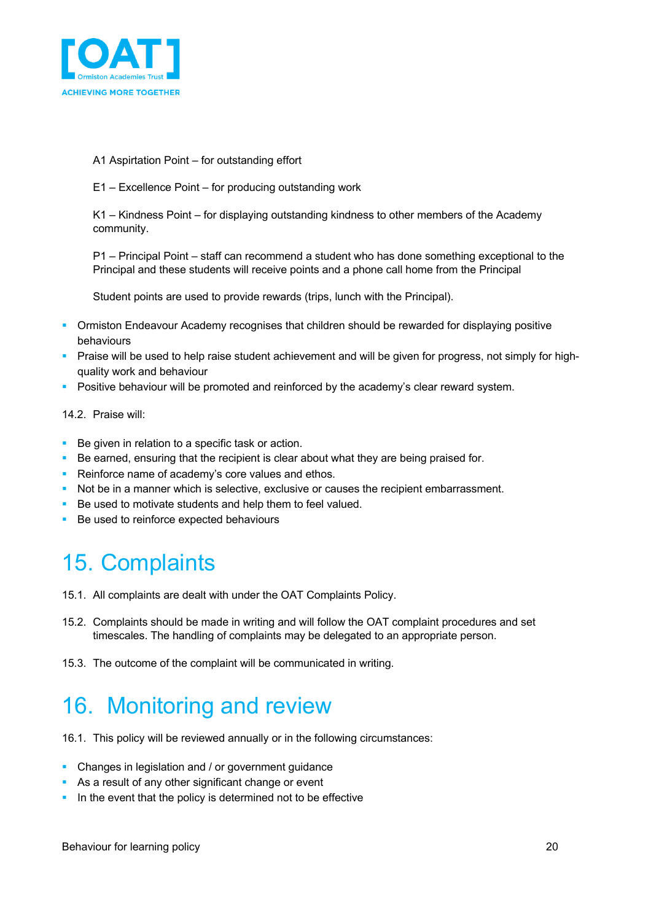

- A1 Aspirtation Point for outstanding effort
- E1 Excellence Point for producing outstanding work

K1 – Kindness Point – for displaying outstanding kindness to other members of the Academy community.

P1 – Principal Point – staff can recommend a student who has done something exceptional to the Principal and these students will receive points and a phone call home from the Principal

Student points are used to provide rewards (trips, lunch with the Principal).

- Ormiston Endeavour Academy recognises that children should be rewarded for displaying positive behaviours
- § Praise will be used to help raise student achievement and will be given for progress, not simply for highquality work and behaviour
- **Positive behaviour will be promoted and reinforced by the academy's clear reward system.**

#### 14.2. Praise will:

- Be given in relation to a specific task or action.
- **•** Be earned, ensuring that the recipient is clear about what they are being praised for.
- Reinforce name of academy's core values and ethos.
- Not be in a manner which is selective, exclusive or causes the recipient embarrassment.
- Be used to motivate students and help them to feel valued.
- Be used to reinforce expected behaviours

### 15. Complaints

- 15.1. All complaints are dealt with under the OAT Complaints Policy.
- 15.2. Complaints should be made in writing and will follow the OAT complaint procedures and set timescales. The handling of complaints may be delegated to an appropriate person.
- 15.3. The outcome of the complaint will be communicated in writing.

## 16. Monitoring and review

- 16.1. This policy will be reviewed annually or in the following circumstances:
- Changes in legislation and / or government guidance
- As a result of any other significant change or event
- **•** In the event that the policy is determined not to be effective